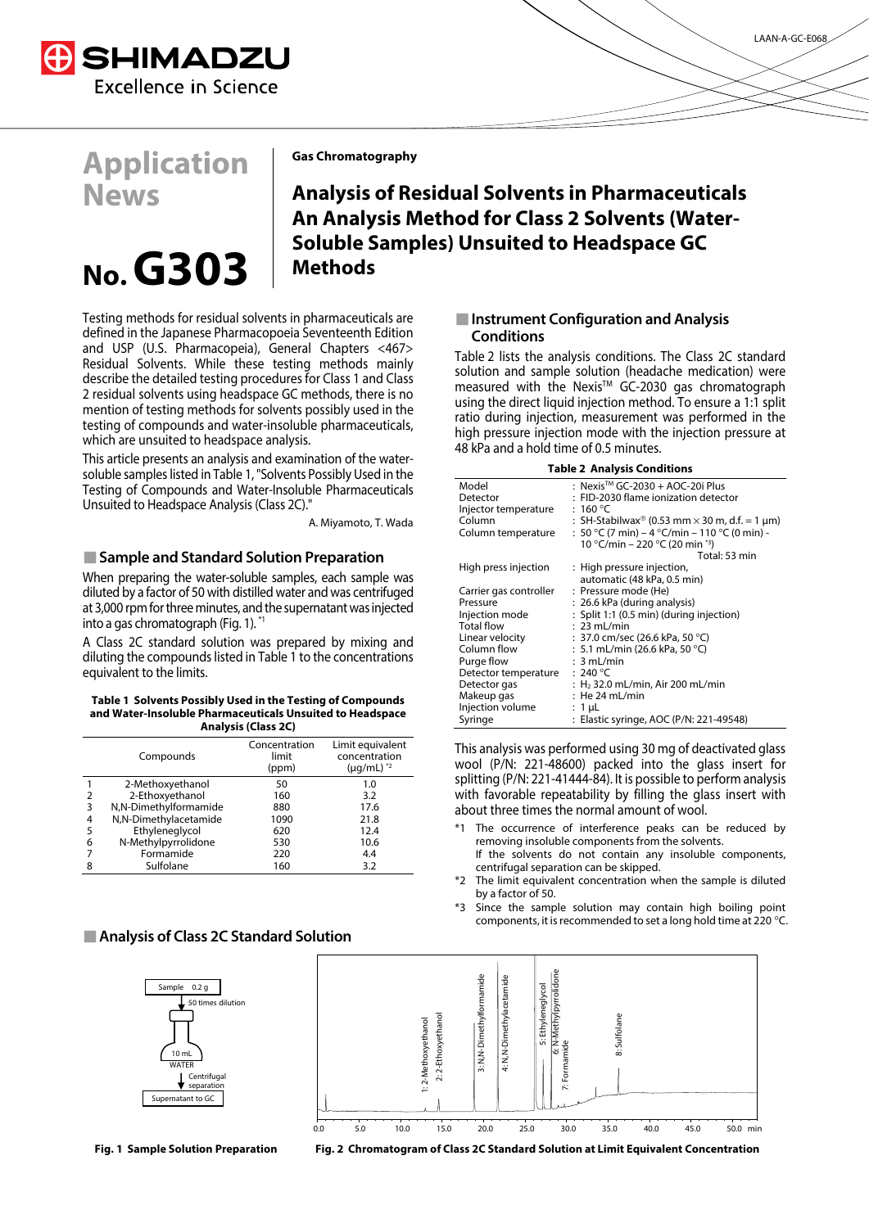

# **Application News**

# **No. G303**

**Gas Chromatography**

**Analysis of Residual Solvents in Pharmaceuticals An Analysis Method for Class 2 Solvents (Water-Soluble Samples) Unsuited to Headspace GC Methods** 

Testing methods for residual solvents in pharmaceuticals are defined in the Japanese Pharmacopoeia Seventeenth Edition and USP (U.S. Pharmacopeia), General Chapters <467> Residual Solvents. While these testing methods mainly describe the detailed testing procedures for Class 1 and Class 2 residual solvents using headspace GC methods, there is no mention of testing methods for solvents possibly used in the testing of compounds and water-insoluble pharmaceuticals, which are unsuited to headspace analysis.

This article presents an analysis and examination of the watersoluble samples listed in Table 1, "Solvents Possibly Used in the Testing of Compounds and Water-Insoluble Pharmaceuticals Unsuited to Headspace Analysis (Class 2C)."

A. Miyamoto, T. Wada

#### **Sample and Standard Solution Preparation**

When preparing the water-soluble samples, each sample was diluted by a factor of 50 with distilled water and was centrifuged at 3,000 rpm for three minutes, and the supernatant was injected into a gas chromatograph (Fig. 1). \*1

A Class 2C standard solution was prepared by mixing and diluting the compounds listed in Table 1 to the concentrations equivalent to the limits.

#### **Table 1 Solvents Possibly Used in the Testing of Compounds and Water-Insoluble Pharmaceuticals Unsuited to Headspace Analysis (Class 2C)**

|   | Compounds             | Concentration<br>limit<br>(ppm) | Limit equivalent<br>concentration<br>$(\mu q/mL)^*$ |
|---|-----------------------|---------------------------------|-----------------------------------------------------|
|   | 2-Methoxyethanol      | 50                              | 1.0                                                 |
|   | 2-Ethoxyethanol       | 160                             | 3.2                                                 |
| 3 | N,N-Dimethylformamide | 880                             | 17.6                                                |
| 4 | N,N-Dimethylacetamide | 1090                            | 21.8                                                |
| 5 | Ethyleneglycol        | 620                             | 12.4                                                |
| 6 | N-Methylpyrrolidone   | 530                             | 10.6                                                |
|   | Formamide             | 220                             | 4.4                                                 |
| 8 | Sulfolane             | 160                             | 3.2                                                 |

#### **Analysis of Class 2C Standard Solution**





#### **Instrument Configuration and Analysis Conditions**

Table 2 lists the analysis conditions. The Class 2C standard solution and sample solution (headache medication) were measured with the Nexis™ GC-2030 gas chromatograph using the direct liquid injection method. To ensure a 1:1 split ratio during injection, measurement was performed in the high pressure injection mode with the injection pressure at 48 kPa and a hold time of 0.5 minutes.

|  | <b>Table 2 Analysis Conditions</b> |
|--|------------------------------------|
|--|------------------------------------|

| Model                  | : Nexis™ GC-2030 + AOC-20i Plus                                  |
|------------------------|------------------------------------------------------------------|
| Detector               | : FID-2030 flame ionization detector                             |
| Injector temperature   | : 160 °C                                                         |
| Column                 | : SH-Stabilwax <sup>®</sup> (0.53 mm $\times$ 30 m, d.f. = 1 µm) |
| Column temperature     | : 50 °C (7 min) – 4 °C/min – 110 °C (0 min) -                    |
|                        | 10 °C/min – 220 °C (20 min *3)                                   |
|                        | Total: 53 min                                                    |
| High press injection   | : High pressure injection,                                       |
|                        | automatic (48 kPa, 0.5 min)                                      |
| Carrier gas controller | : Pressure mode (He)                                             |
| Pressure               | : 26.6 kPa (during analysis)                                     |
| Injection mode         | : Split 1:1 (0.5 min) (during injection)                         |
| Total flow             | $: 23$ mL/min                                                    |
| Linear velocity        | $: 37.0$ cm/sec (26.6 kPa, 50 °C)                                |
| Column flow            | $: 5.1$ mL/min (26.6 kPa, 50 °C)                                 |
| Purge flow             | : 3 mL/min                                                       |
| Detector temperature   | : 240 °C                                                         |
| Detector gas           | : $H2$ 32.0 mL/min, Air 200 mL/min                               |
| Makeup gas             | $:$ He 24 mL/min                                                 |
| Injection volume       | : 1 µL                                                           |
| Syringe                | : Elastic syringe, AOC (P/N: 221-49548)                          |

This analysis was performed using 30 mg of deactivated glass wool (P/N: 221-48600) packed into the glass insert for splitting (P/N: 221-41444-84). It is possible to perform analysis with favorable repeatability by filling the glass insert with about three times the normal amount of wool.

- The occurrence of interference peaks can be reduced by removing insoluble components from the solvents. If the solvents do not contain any insoluble components, centrifugal separation can be skipped.
- \*2 The limit equivalent concentration when the sample is diluted by a factor of 50.
- \*3 Since the sample solution may contain high boiling point components, it is recommended to set a long hold time at 220 °C.



**Fig. 1 Sample Solution Preparation Fig. 2 Chromatogram of Class 2C Standard Solution at Limit Equivalent Concentration**